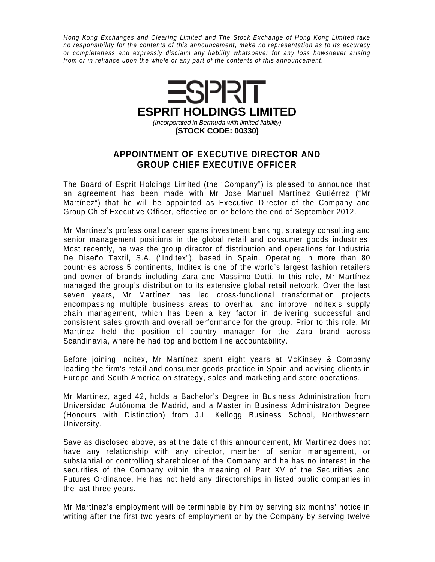Hong Kong Exchanges and Clearing Limited and The Stock Exchange of Hong Kong Limited take no responsibility for the contents of this announcement, make no representation as to its accuracy or completeness and expressly disclaim any liability whatsoever for any loss howsoever arising from or in reliance upon the whole or any part of the contents of this announcement.



## **APPOINTMENT OF EXECUTIVE DIRECTOR AND GROUP CHIEF EXECUTIVE OFFICER**

The Board of Esprit Holdings Limited (the "Company") is pleased to announce that an agreement has been made with Mr Jose Manuel Martínez Gutiérrez ("Mr Martínez") that he will be appointed as Executive Director of the Company and Group Chief Executive Officer, effective on or before the end of September 2012.

Mr Martínez's professional career spans investment banking, strategy consulting and senior management positions in the global retail and consumer goods industries. Most recently, he was the group director of distribution and operations for Industria De Diseño Textil, S.A. ("Inditex"), based in Spain. Operating in more than 80 countries across 5 continents, Inditex is one of the world's largest fashion retailers and owner of brands including Zara and Massimo Dutti. In this role, Mr Martínez managed the group's distribution to its extensive global retail network. Over the last seven years, Mr Martínez has led cross-functional transformation projects encompassing multiple business areas to overhaul and improve Inditex's supply chain management, which has been a key factor in delivering successful and consistent sales growth and overall performance for the group. Prior to this role, Mr Martínez held the position of country manager for the Zara brand across Scandinavia, where he had top and bottom line accountability.

Before joining Inditex, Mr Martínez spent eight years at McKinsey & Company leading the firm's retail and consumer goods practice in Spain and advising clients in Europe and South America on strategy, sales and marketing and store operations.

Mr Martínez, aged 42, holds a Bachelor's Degree in Business Administration from Universidad Autónoma de Madrid, and a Master in Business Administraton Degree (Honours with Distinction) from J.L. Kellogg Business School, Northwestern University.

Save as disclosed above, as at the date of this announcement, Mr Martínez does not have any relationship with any director, member of senior management, or substantial or controlling shareholder of the Company and he has no interest in the securities of the Company within the meaning of Part XV of the Securities and Futures Ordinance. He has not held any directorships in listed public companies in the last three years.

Mr Martínez's employment will be terminable by him by serving six months' notice in writing after the first two years of employment or by the Company by serving twelve